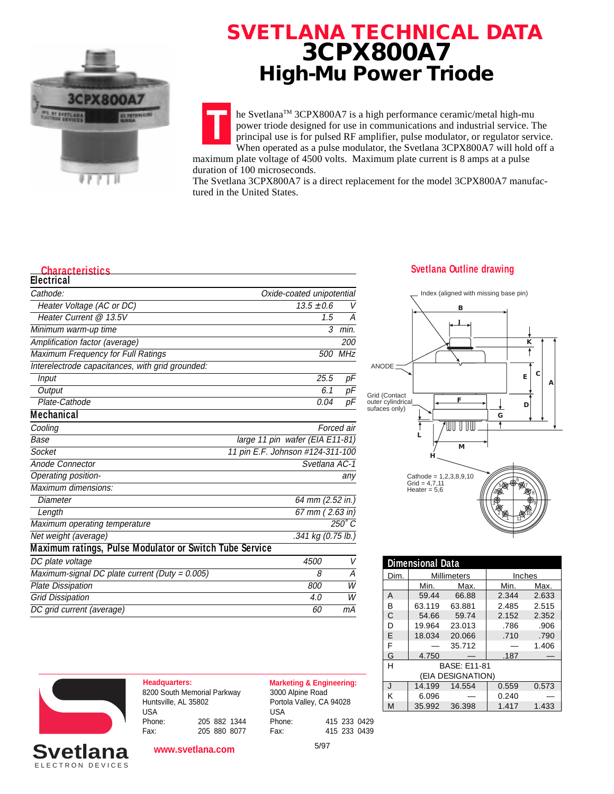

## **SVETLANA TECHNICAL DATA 3CPX800A7 High-Mu Power Triode**

**T** he SvetlanaTM 3CPX800A7 is a high performance ceramic/metal high-mu power triode designed for use in communications and industrial service. The principal use is for pulsed RF amplifier, pulse modulator, or regulator service. When operated as a pulse modulator, the Svetlana 3CPX800A7 will hold off a

maximum plate voltage of 4500 volts. Maximum plate current is 8 amps at a pulse duration of 100 microseconds.

The Svetlana 3CPX800A7 is a direct replacement for the model 3CPX800A7 manufactured in the United States.

### **Characteristics Svetlana Outline drawing Svetlana Outline drawing**

| <b>Electrical</b>                                       |                                  |               |
|---------------------------------------------------------|----------------------------------|---------------|
| Cathode:                                                | Oxide-coated unipotential        |               |
| Heater Voltage (AC or DC)                               | $13.5 \pm 0.6$                   | V             |
| Heater Current @ 13.5V                                  | 1.5                              | А             |
| Minimum warm-up time                                    | 3                                | min.          |
| Amplification factor (average)                          |                                  | <i>200</i>    |
| Maximum Frequency for Full Ratings                      | <i>500</i>                       | MHz           |
| Interelectrode capacitances, with grid grounded:        |                                  |               |
| Input                                                   | 25.5                             | рF            |
| Output                                                  | 6.1                              | рF            |
| Plate-Cathode                                           | 0.04                             | рF            |
| <b>Mechanical</b>                                       |                                  |               |
| Cooling                                                 |                                  | Forced air    |
| <b>Base</b>                                             | large 11 pin wafer (EIA E11-81)  |               |
| Socket                                                  | 11 pin E.F. Johnson #124-311-100 |               |
| Anode Connector                                         | Svetlana AC-1                    |               |
| Operating position-                                     |                                  | any           |
| Maximum dimensions:                                     |                                  |               |
| Diameter                                                | 64 mm (2.52 in.)                 |               |
| Length                                                  | 67 mm (2.63 in)                  |               |
| Maximum operating temperature                           |                                  | $250^\circ C$ |
| Net weight (average)                                    | .341 kg (0.75 lb.)               |               |
| Maximum ratings, Pulse Modulator or Switch Tube Service |                                  |               |
| DC plate voltage                                        | 4500                             | V             |
| Maximum-signal DC plate current (Duty = $0.005$ )       | 8                                | А             |
| <b>Plate Dissipation</b>                                | 800                              | W             |
| <b>Grid Dissipation</b>                                 | 4.0                              | W             |
| DC grid current (average)                               | 60                               | mА            |



**B**

Index (aligned with missing base pin)

| <b>Dimensional Data</b>  |                    |        |        |       |
|--------------------------|--------------------|--------|--------|-------|
| Dim.                     | <b>Millimeters</b> |        | Inches |       |
|                          | Min.               | Max.   | Min.   | Max.  |
| А                        | 59.44              | 66.88  | 2.344  | 2.633 |
| В                        | 63.119             | 63.881 | 2.485  | 2.515 |
| C                        | 54.66              | 59.74  | 2.152  | 2.352 |
| D                        | 19.964             | 23.013 | .786   | .906  |
| F                        | 18.034             | 20.066 | .710   | .790  |
| F                        |                    | 35.712 |        | 1.406 |
| G                        | 4.750              |        | .187   |       |
| Н<br><b>BASF: F11-81</b> |                    |        |        |       |
| (EIA DESIGNATION)        |                    |        |        |       |
| $\mathbf{J}$             | 14.199             | 14.554 | 0.559  | 0.573 |
| Κ                        | 6.096              |        | 0.240  |       |
| M                        | 35.992             | 36.398 | 1.417  | 1.433 |



ELECTRON DEVICES **Svetlana**

**Headquarters: Marketing & Engineering:** 8200 South Memorial Parkway Huntsville, AL 35802 USA<br>Phone: Phone: 205 882 1344 Fax: 205 880 8077

3000 Alpine Road Portola Valley, CA 94028 USA<br>Phone: Phone: 415 233 0429 Fax: 415 233 0439

**www.svetlana.com**